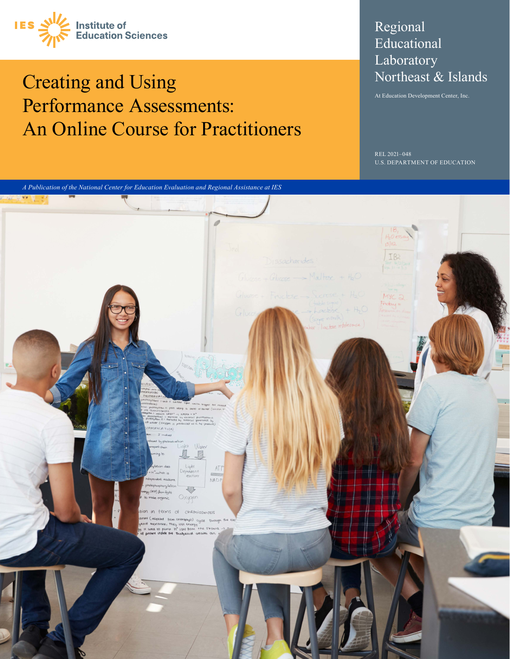

## Creating and Using Performance Assessments: An Online Course for Practitioners

#### Regional Educational **Laboratory** Northeast & Islands

At Education Development Center, Inc.

REL 2021-048 U.S. DEPARTMENT OF EDUCATION

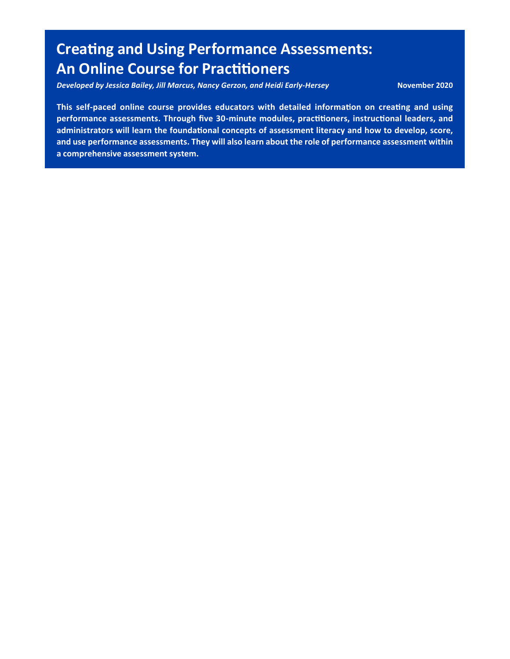### **Creating and Using Performance Assessments: An Online Course for Practitioners**

*- Developed by Jessica Bailey, Jill Marcus, Nancy Gerzon, and Heidi Early -Hersey* **November 2020** 

 **This self-paced online course provides educators with detailed information on creating and using performance assessments. Through five 30-minute modules, practitioners, instructional leaders, and administrators will learn the foundational concepts of assessment literacy and how to develop, score, a comprehensive assessment system. and use performance assessments. They will also learn about the role of performance assessment within**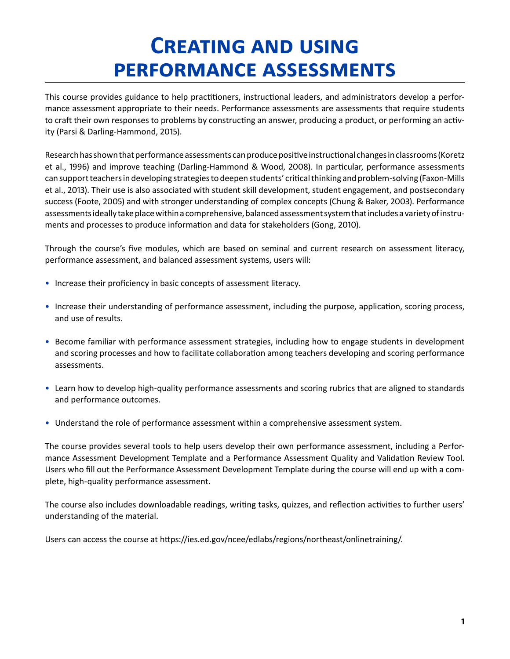# **Creating and using performance assessments**

This course provides guidance to help practitioners, instructional leaders, and administrators develop a performance assessment appropriate to their needs. Performance assessments are assessments that require students to craft their own responses to problems by constructing an answer, producing a product, or performing an activity (Parsi & Darling-Hammond, 2015).

Research has shown that performance assessments can produce positive instructional changes in classrooms (Koretz et al., 1996) and improve teaching (Darling-Hammond & Wood, 2008). In particular, performance assessments can support teachers in developing strategies to deepen students' critical thinking and problem-solving (Faxon-Mills et al., 2013). Their use is also associated with student skill development, student engagement, and postsecondary success (Foote, 2005) and with stronger understanding of complex concepts (Chung & Baker, 2003). Performance assessments ideally take place within a comprehensive, balanced assessment system that includes a variety of instruments and processes to produce information and data for stakeholders (Gong, 2010).

Through the course's five modules, which are based on seminal and current research on assessment literacy, performance assessment, and balanced assessment systems, users will:

- Increase their proficiency in basic concepts of assessment literacy.
- • Increase their understanding of performance assessment, including the purpose, application, scoring process, and use of results.
- Become familiar with performance assessment strategies, including how to engage students in development and scoring processes and how to facilitate collaboration among teachers developing and scoring performance assessments.
- • Learn how to develop high-quality performance assessments and scoring rubrics that are aligned to standards and performance outcomes.
- • Understand the role of performance assessment within a comprehensive assessment system.

The course provides several tools to help users develop their own performance assessment, including a Performance Assessment Development Template and a Performance Assessment Quality and Validation Review Tool. Users who fill out the Performance Assessment Development Template during the course will end up with a complete, high-quality performance assessment.

The course also includes downloadable readings, writing tasks, quizzes, and reflection activities to further users' understanding of the material.

Users can access the course at<https://ies.ed.gov/ncee/edlabs/regions/northeast/onlinetraining/>.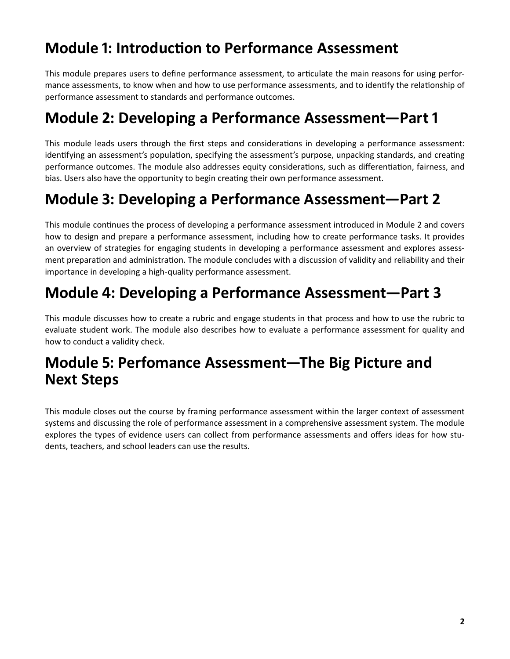### **Module 1: Introduction to Performance Assessment**

This module prepares users to define performance assessment, to articulate the main reasons for using performance assessments, to know when and how to use performance assessments, and to identify the relationship of performance assessment to standards and performance outcomes.

### **Module 2: Developing a Performance Assessment—Part 1**

This module leads users through the first steps and considerations in developing a performance assessment: identifying an assessment's population, specifying the assessment's purpose, unpacking standards, and creating performance outcomes. The module also addresses equity considerations, such as differentiation, fairness, and bias. Users also have the opportunity to begin creating their own performance assessment.

### **Module 3: Developing a Performance Assessment—Part 2**

This module continues the process of developing a performance assessment introduced in Module 2 and covers how to design and prepare a performance assessment, including how to create performance tasks. It provides an overview of strategies for engaging students in developing a performance assessment and explores assessment preparation and administration. The module concludes with a discussion of validity and reliability and their importance in developing a high-quality performance assessment.

#### **Module 4: Developing a Performance Assessment—Part 3**

This module discusses how to create a rubric and engage students in that process and how to use the rubric to evaluate student work. The module also describes how to evaluate a performance assessment for quality and how to conduct a validity check.

#### **Module 5: Perfomance Assessment—The Big Picture and Next Steps**

This module closes out the course by framing performance assessment within the larger context of assessment systems and discussing the role of performance assessment in a comprehensive assessment system. The module explores the types of evidence users can collect from performance assessments and offers ideas for how students, teachers, and school leaders can use the results.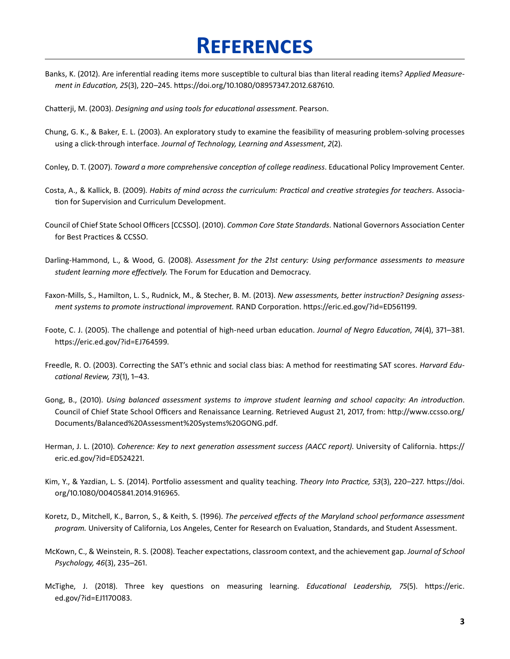## **References**

Banks, K. (2012). Are inferential reading items more susceptible to cultural bias than literal reading items? *Applied Measurement in Education, 25*(3), 220–245. <https://doi.org/10.1080/08957347.2012.687610>.

Chatterji, M. (2003). *Designing and using tools for educational assessment*. Pearson.

- Chung, G. K., & Baker, E. L. (2003). An exploratory study to examine the feasibility of measuring problem-solving processes using a click-through interface. *Journal of Technology, Learning and Assessment*, *2*(2).
- Conley, D. T. (2007). *Toward a more comprehensive conception of college readiness*. Educational Policy Improvement Center.
- Costa, A., & Kallick, B. (2009). *Habits of mind across the curriculum: Practical and creative strategies for teachers*. Association for Supervision and Curriculum Development.
- Council of Chief State School Officers [CCSSO]. (2010). *Common Core State Standards.* National Governors Association Center for Best Practices & CCSSO.
- Darling-Hammond, L., & Wood, G. (2008). *Assessment for the 21st century: Using performance assessments to measure student learning more effectively.* The Forum for Education and Democracy.
- Faxon-Mills, S., Hamilton, L. S., Rudnick, M., & Stecher, B. M. (2013). *New assessments, better instruction? Designing assessment systems to promote instructional improvement.* RAND Corporation.<https://eric.ed.gov/?id=ED561199>.
- Foote, C. J. (2005). The challenge and potential of high-need urban education. *Journal of Negro Education*, *74*(4), 371–381. [https://eric.ed.gov/?id=EJ764599.](https://eric.ed.gov/?id=EJ764599)
- Freedle, R. O. (2003). Correcting the SAT's ethnic and social class bias: A method for reestimating SAT scores. *Harvard Educational Review, 73*(1), 1–43.
- Gong, B., (2010). *Using balanced assessment systems to improve student learning and school capacity: An introduction*. Council of Chief State School Officers and Renaissance Learning. Retrieved August 21, 2017, from: [http://www.ccsso.org/](http://www.ccsso.org/Documents/Balanced%20Assessment%20Systems%20GONG.pdf)  [Documents/Balanced%20Assessment%20Systems%20GONG.pdf](http://www.ccsso.org/Documents/Balanced%20Assessment%20Systems%20GONG.pdf).
- Herman, J. L. (2010). *Coherence: Key to next generation assessment success (AACC report)*. University of California. [https://](https://eric.ed.gov/?id=ED524221)  [eric.ed.gov/?id=ED524221.](https://eric.ed.gov/?id=ED524221)
- Kim, Y., & Yazdian, L. S. (2014). Portfolio assessment and quality teaching. *Theory Into Practice, 53*(3), 220–227. [https://doi.](https://doi.org/10.1080/00405841.2014.916965)  [org/10.1080/00405841.2014.916965](https://doi.org/10.1080/00405841.2014.916965).
- Koretz, D., Mitchell, K., Barron, S., & Keith, S. (1996). *The perceived effects of the Maryland school performance assessment program.* University of California, Los Angeles, Center for Research on Evaluation, Standards, and Student Assessment.
- McKown, C., & Weinstein, R. S. (2008). Teacher expectations, classroom context, and the achievement gap. *Journal of School Psychology, 46*(3), 235–261.
- McTighe, J. (2018). Three key questions on measuring learning. *Educational Leadership, 75*(5). [https://eric.](https://eric.ed.gov/?id=EJ1170083)  [ed.gov/?id=EJ1170083](https://eric.ed.gov/?id=EJ1170083).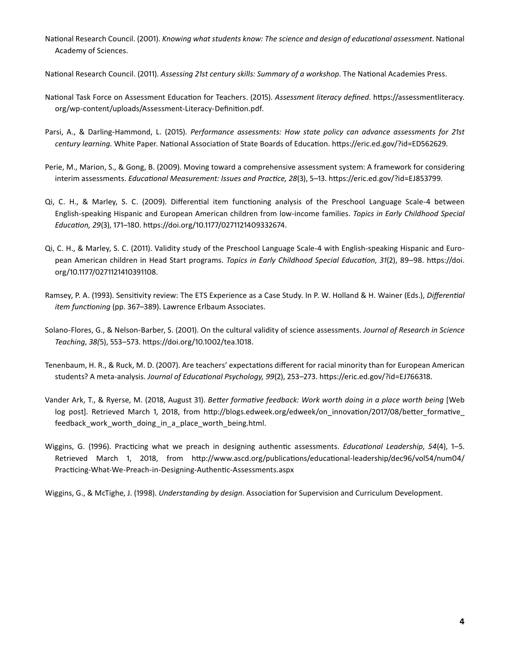National Research Council. (2001). *Knowing what students know: The science and design of educational assessment*. National Academy of Sciences.

National Research Council. (2011). *Assessing 21st century skills: Summary of a workshop*. The National Academies Press.

- National Task Force on Assessment Education for Teachers. (2015). *Assessment literacy defined*. [https://assessmentliteracy.](https://assessmentliteracy.org/wp-content/uploads/Assessment-Literacy-Definition.pdf) [org/wp-content/uploads/Assessment-Literacy-Definition.pdf](https://assessmentliteracy.org/wp-content/uploads/Assessment-Literacy-Definition.pdf).
- Parsi, A., & Darling-Hammond, L. (2015). *Performance assessments: How state policy can advance assessments for 21st century learning.* White Paper. National Association of State Boards of Education. [https://eric.ed.gov/?id=ED562629.](https://eric.ed.gov/?id=ED562629)
- Perie, M., Marion, S., & Gong, B. (2009). Moving toward a comprehensive assessment system: A framework for considering interim assessments. *Educational Measurement: Issues and Practice, 28*(3), 5–13. <https://eric.ed.gov/?id=EJ853799>.
- English-speaking Hispanic and European American children from low-income families. *Topics in Early Childhood Special*  Qi, C. H., & Marley, S. C. (2009). Differential item functioning analysis of the Preschool Language Scale-4 between *Education, 29*(3), 171–180.<https://doi.org/10.1177/0271121409332674>.
- pean American children in Head Start programs. *Topics in Early Childhood Special Education*, *31*(2), 89–98. [https://doi.](https://doi.org/10.1177/0271121410391108)  Qi, C. H., & Marley, S. C. (2011). Validity study of the Preschool Language Scale-4 with English-speaking Hispanic and Euro[org/10.1177/0271121410391108](https://doi.org/10.1177/0271121410391108).
- Ramsey, P. A. (1993). Sensitivity review: The ETS Experience as a Case Study. In P. W. Holland & H. Wainer (Eds.), *Differential item functioning* (pp. 367–389). Lawrence Erlbaum Associates.
- Solano-Flores, G., & Nelson-Barber, S. (2001). On the cultural validity of science assessments. *Journal of Research in Science Teaching*, *38(*5), 553–573.<https://doi.org/10.1002/tea.1018>.
- Tenenbaum, H. R., & Ruck, M. D. (2007). Are teachers' expectations different for racial minority than for European American students? A meta-analysis. *Journal of Educational Psychology, 99*(2), 253–273. [https://eric.ed.gov/?id=EJ766318.](https://eric.ed.gov/?id=EJ766318)
- Vander Ark, T., & Ryerse, M. (2018, August 31). *Better formative feedback: Work worth doing in a place worth being* [Web log post]. Retrieved March 1, 2018, from [http://blogs.edweek.org/edweek/on\\_innovation/2017/08/better\\_formative\\_](http://blogs.edweek.org/edweek/on_innovation/2017/08/better_formative_feedback_work_worth_doing_in_a_place_worth_being.html) feedback work worth doing in a place worth being.html.
- Wiggins, G. (1996). Practicing what we preach in designing authentic assessments. *Educational Leadership*, *54*(4), 1–5. Retrieved March 1, 2018, from [http://www.ascd.org/publications/educational-leadership/dec96/vol54/num04/](http://www.ascd.org/publications/educational-leadership/dec96/vol54/num04/Practicing-What-We-Preach-in-Designing-Authentic-Assessments.aspx)  [Practicing-What-We-Preach-in-Designing-Authentic-Assessments.aspx](http://www.ascd.org/publications/educational-leadership/dec96/vol54/num04/Practicing-What-We-Preach-in-Designing-Authentic-Assessments.aspx)

Wiggins, G., & McTighe, J. (1998). *Understanding by design*. Association for Supervision and Curriculum Development.